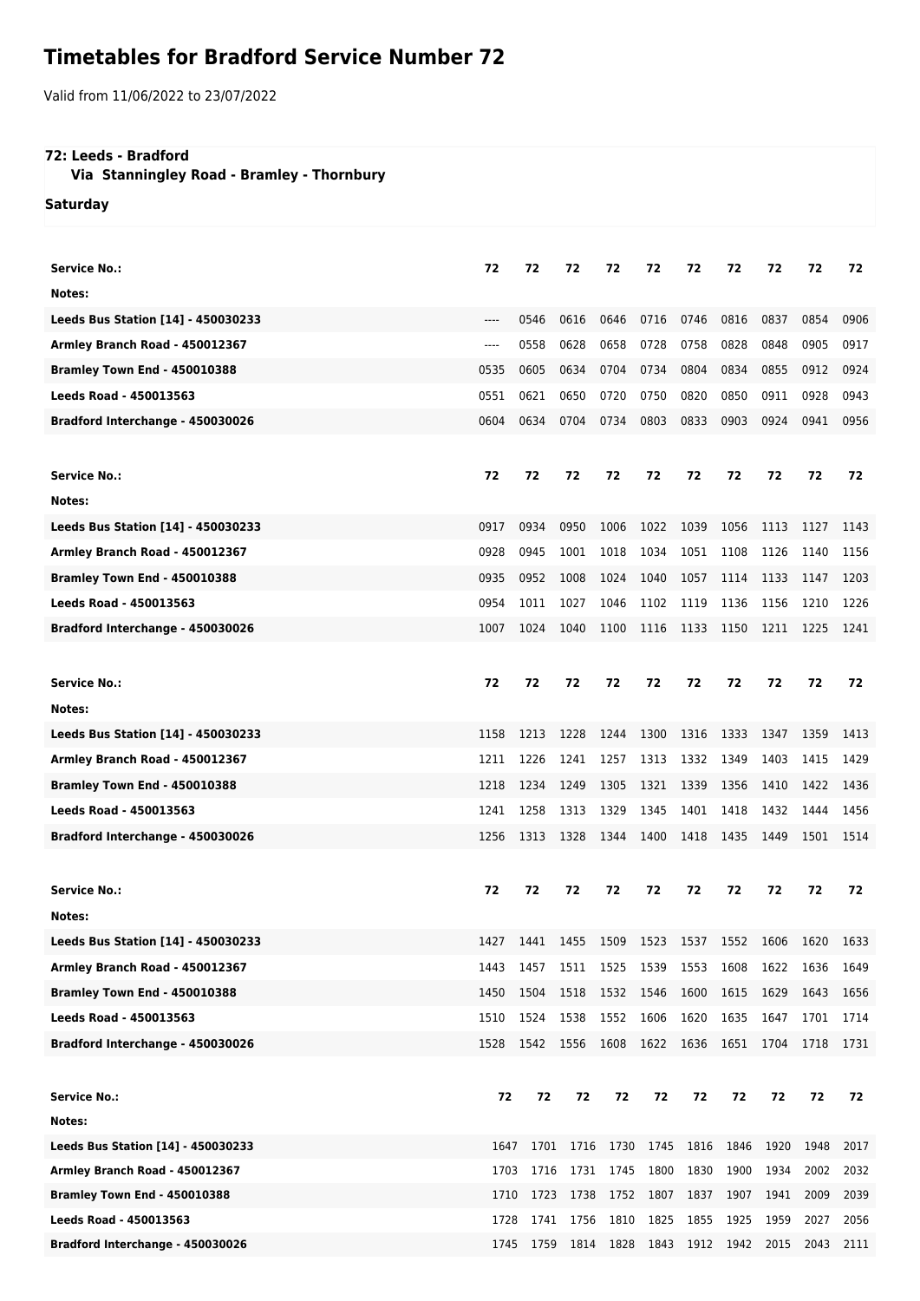## **Timetables for Bradford Service Number 72**

Valid from 11/06/2022 to 23/07/2022

## **72: Leeds - Bradford**

 **Via Stanningley Road - Bramley - Thornbury**

**Saturday**

| <b>Service No.:</b>                | 72   | 72        | 72             | 72                       | 72             | 72   | 72   | 72        | 72   | 72   |
|------------------------------------|------|-----------|----------------|--------------------------|----------------|------|------|-----------|------|------|
| Notes:                             |      |           |                |                          |                |      |      |           |      |      |
| Leeds Bus Station [14] - 450030233 | ---- | 0546      | 0616           | 0646                     | 0716           | 0746 | 0816 | 0837      | 0854 | 0906 |
| Armley Branch Road - 450012367     | ---- | 0558      | 0628           | 0658                     | 0728           | 0758 | 0828 | 0848      | 0905 | 0917 |
| Bramley Town End - 450010388       | 0535 | 0605      | 0634           | 0704                     | 0734           | 0804 | 0834 | 0855      | 0912 | 0924 |
| Leeds Road - 450013563             | 0551 | 0621      | 0650           | 0720                     | 0750           | 0820 | 0850 | 0911      | 0928 | 0943 |
| Bradford Interchange - 450030026   | 0604 | 0634      | 0704           | 0734                     | 0803           | 0833 | 0903 | 0924      | 0941 | 0956 |
|                                    |      |           |                |                          |                |      |      |           |      |      |
| <b>Service No.:</b>                | 72   | 72        | 72             | 72                       | 72             | 72   | 72   | 72        | 72   | 72   |
| Notes:                             |      |           |                |                          |                |      |      |           |      |      |
| Leeds Bus Station [14] - 450030233 | 0917 | 0934      | 0950           | 1006                     | 1022           | 1039 | 1056 | 1113      | 1127 | 1143 |
| Armley Branch Road - 450012367     | 0928 | 0945      | 1001           | 1018                     | 1034           | 1051 | 1108 | 1126      | 1140 | 1156 |
| Bramley Town End - 450010388       | 0935 | 0952      | 1008           | 1024                     | 1040           | 1057 | 1114 | 1133      | 1147 | 1203 |
| <b>Leeds Road - 450013563</b>      | 0954 | 1011      | 1027           | 1046                     | 1102           | 1119 | 1136 | 1156      | 1210 | 1226 |
| Bradford Interchange - 450030026   | 1007 | 1024      | 1040           | 1100                     | 1116           | 1133 | 1150 | 1211      | 1225 | 1241 |
|                                    |      |           |                |                          |                |      |      |           |      |      |
| <b>Service No.:</b>                | 72   | 72        | 72             | 72                       | 72             | 72   | 72   | 72        | 72   | 72   |
| Notes:                             |      |           |                |                          |                |      |      |           |      |      |
| Leeds Bus Station [14] - 450030233 | 1158 | 1213      | 1228           | 1244                     | 1300           | 1316 | 1333 | 1347      | 1359 | 1413 |
| Armley Branch Road - 450012367     | 1211 | 1226      | 1241           | 1257                     | 1313           | 1332 | 1349 | 1403      | 1415 | 1429 |
| Bramley Town End - 450010388       | 1218 | 1234      | 1249           | 1305                     | 1321           | 1339 | 1356 | 1410      | 1422 | 1436 |
| <b>Leeds Road - 450013563</b>      | 1241 | 1258      | 1313           | 1329                     | 1345           | 1401 | 1418 | 1432      | 1444 | 1456 |
| Bradford Interchange - 450030026   | 1256 | 1313      | 1328           | 1344                     | 1400           | 1418 | 1435 | 1449      | 1501 | 1514 |
|                                    |      |           |                |                          |                |      |      |           |      |      |
| <b>Service No.:</b>                | 72   | 72        | 72             | 72                       | 72             | 72   | 72   | 72        | 72   | 72   |
| Notes:                             |      |           |                |                          |                |      |      |           |      |      |
| Leeds Bus Station [14] - 450030233 | 1427 |           | 1441 1455 1509 |                          | 1523 1537 1552 |      |      | 1606      | 1620 | 1633 |
| Armley Branch Road - 450012367     | 1443 | 1457      | 1511           | 1525                     | 1539           | 1553 | 1608 | 1622      | 1636 | 1649 |
| Bramley Town End - 450010388       | 1450 |           |                | 1504 1518 1532 1546 1600 |                |      | 1615 | 1629      | 1643 | 1656 |
| Leeds Road - 450013563             | 1510 | 1524      | 1538           | 1552                     | 1606           | 1620 | 1635 | 1647      | 1701 | 1714 |
| Bradford Interchange - 450030026   | 1528 | 1542 1556 |                | 1608                     | 1622 1636      |      | 1651 | 1704 1718 |      | 1731 |
|                                    |      |           |                |                          |                |      |      |           |      |      |
| <b>Service No.:</b>                | 72   | 72        | 72             | 72                       | 72             | 72   | 72   | 72        | 72   | 72   |
| Notes:                             |      |           |                |                          |                |      |      |           |      |      |
| Leeds Bus Station [14] - 450030233 | 1647 | 1701      | 1716           | 1730                     | 1745           | 1816 | 1846 | 1920      | 1948 | 2017 |
| Armley Branch Road - 450012367     | 1703 | 1716      | 1731           | 1745                     | 1800           | 1830 | 1900 | 1934      | 2002 | 2032 |
| Bramley Town End - 450010388       | 1710 | 1723      | 1738           |                          | 1752 1807      | 1837 | 1907 | 1941      | 2009 | 2039 |
| Leeds Road - 450013563             | 1728 |           | 1741 1756      | 1810                     | 1825           | 1855 | 1925 | 1959      | 2027 | 2056 |
| Bradford Interchange - 450030026   | 1745 |           |                | 1759 1814 1828 1843 1912 |                |      | 1942 | 2015      | 2043 | 2111 |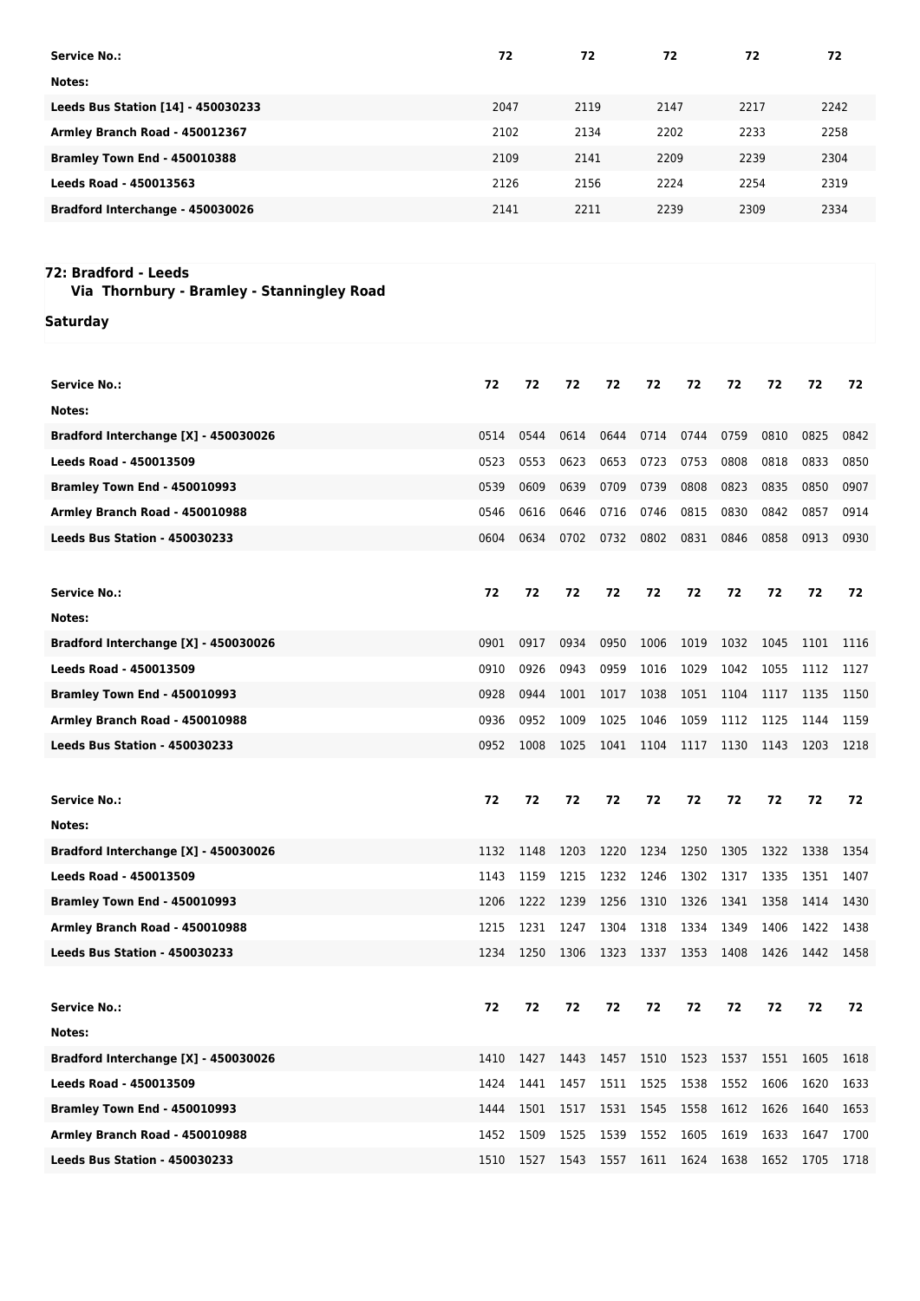| Service No.:                       | 72   | 72   | 72   | 72   | 72   |
|------------------------------------|------|------|------|------|------|
| Notes:                             |      |      |      |      |      |
| Leeds Bus Station [14] - 450030233 | 2047 | 2119 | 2147 | 2217 | 2242 |
| Armley Branch Road - 450012367     | 2102 | 2134 | 2202 | 2233 | 2258 |
| Bramley Town End - 450010388       | 2109 | 2141 | 2209 | 2239 | 2304 |
| <b>Leeds Road - 450013563</b>      | 2126 | 2156 | 2224 | 2254 | 2319 |
| Bradford Interchange - 450030026   | 2141 | 2211 | 2239 | 2309 | 2334 |

## **72: Bradford - Leeds**

 **Via Thornbury - Bramley - Stanningley Road**

**Saturday**

| <b>Service No.:</b>                  | 72   | 72   | 72   | 72   | 72   | 72   | 72   | 72   | 72   | 72   |
|--------------------------------------|------|------|------|------|------|------|------|------|------|------|
| Notes:                               |      |      |      |      |      |      |      |      |      |      |
| Bradford Interchange [X] - 450030026 | 0514 | 0544 | 0614 | 0644 | 0714 | 0744 | 0759 | 0810 | 0825 | 0842 |
| <b>Leeds Road - 450013509</b>        | 0523 | 0553 | 0623 | 0653 | 0723 | 0753 | 0808 | 0818 | 0833 | 0850 |
| Bramley Town End - 450010993         | 0539 | 0609 | 0639 | 0709 | 0739 | 0808 | 0823 | 0835 | 0850 | 0907 |
| Armley Branch Road - 450010988       | 0546 | 0616 | 0646 | 0716 | 0746 | 0815 | 0830 | 0842 | 0857 | 0914 |
| <b>Leeds Bus Station - 450030233</b> | 0604 | 0634 | 0702 | 0732 | 0802 | 0831 | 0846 | 0858 | 0913 | 0930 |
|                                      |      |      |      |      |      |      |      |      |      |      |
| <b>Service No.:</b>                  | 72   | 72   | 72   | 72   | 72   | 72   | 72   | 72   | 72   | 72   |
| Notes:                               |      |      |      |      |      |      |      |      |      |      |
| Bradford Interchange [X] - 450030026 | 0901 | 0917 | 0934 | 0950 | 1006 | 1019 | 1032 | 1045 | 1101 | 1116 |
| <b>Leeds Road - 450013509</b>        | 0910 | 0926 | 0943 | 0959 | 1016 | 1029 | 1042 | 1055 | 1112 | 1127 |
| <b>Bramley Town End - 450010993</b>  | 0928 | 0944 | 1001 | 1017 | 1038 | 1051 | 1104 | 1117 | 1135 | 1150 |
| Armley Branch Road - 450010988       | 0936 | 0952 | 1009 | 1025 | 1046 | 1059 | 1112 | 1125 | 1144 | 1159 |
| <b>Leeds Bus Station - 450030233</b> | 0952 | 1008 | 1025 | 1041 | 1104 | 1117 | 1130 | 1143 | 1203 | 1218 |
|                                      |      |      |      |      |      |      |      |      |      |      |
|                                      |      |      |      |      |      |      |      |      |      |      |
| <b>Service No.:</b>                  | 72   | 72   | 72   | 72   | 72   | 72   | 72   | 72   | 72   | 72   |
| Notes:                               |      |      |      |      |      |      |      |      |      |      |
| Bradford Interchange [X] - 450030026 | 1132 | 1148 | 1203 | 1220 | 1234 | 1250 | 1305 | 1322 | 1338 | 1354 |
| <b>Leeds Road - 450013509</b>        | 1143 | 1159 | 1215 | 1232 | 1246 | 1302 | 1317 | 1335 | 1351 | 1407 |
| <b>Bramley Town End - 450010993</b>  | 1206 | 1222 | 1239 | 1256 | 1310 | 1326 | 1341 | 1358 | 1414 | 1430 |
| Armley Branch Road - 450010988       | 1215 | 1231 | 1247 | 1304 | 1318 | 1334 | 1349 | 1406 | 1422 | 1438 |
| Leeds Bus Station - 450030233        | 1234 | 1250 | 1306 | 1323 | 1337 | 1353 | 1408 | 1426 | 1442 | 1458 |
|                                      |      |      |      |      |      |      |      |      |      |      |
| <b>Service No.:</b>                  | 72   | 72   | 72   | 72   | 72   | 72   | 72   | 72   | 72   | 72   |
| Notes:                               |      |      |      |      |      |      |      |      |      |      |
| Bradford Interchange [X] - 450030026 | 1410 | 1427 | 1443 | 1457 | 1510 | 1523 | 1537 | 1551 | 1605 | 1618 |
| <b>Leeds Road - 450013509</b>        | 1424 | 1441 | 1457 | 1511 | 1525 | 1538 | 1552 | 1606 | 1620 | 1633 |
| Bramley Town End - 450010993         | 1444 | 1501 | 1517 | 1531 | 1545 | 1558 | 1612 | 1626 | 1640 | 1653 |
| Armley Branch Road - 450010988       | 1452 | 1509 | 1525 | 1539 | 1552 | 1605 | 1619 | 1633 | 1647 | 1700 |